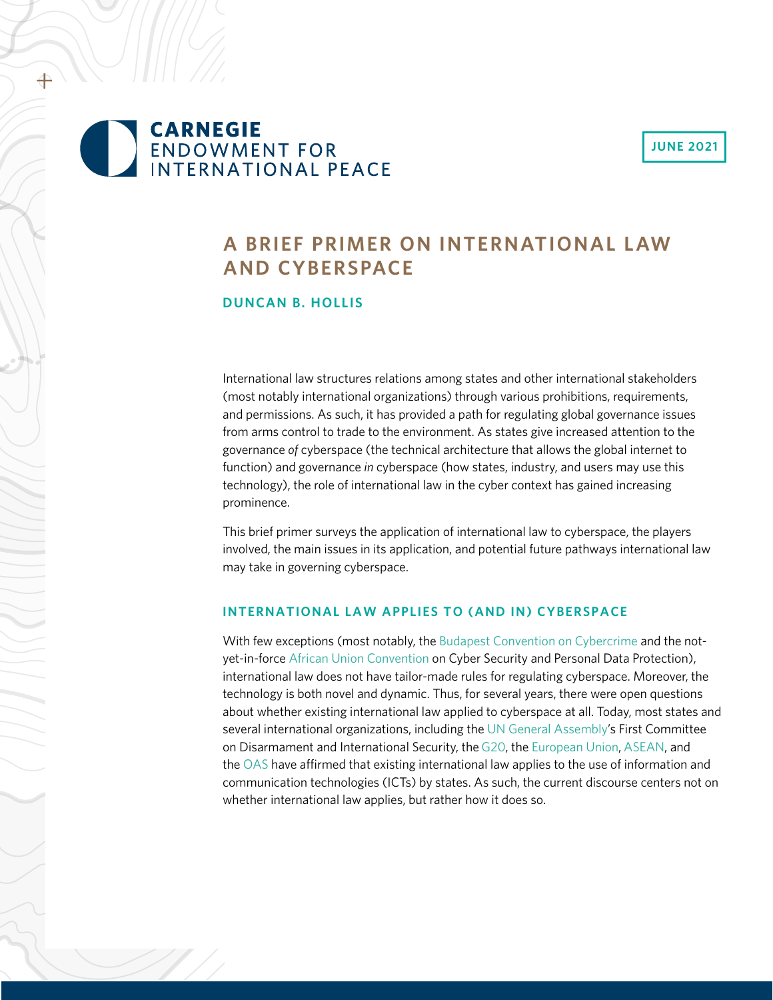### **JUNE 2021**

# **CARNEGIE** ENDOWMENT FOR<br>INTERNATIONAL PEACE

## **A BRIEF PRIMER ON INTERNATIONAL LAW AND CYBERSPACE**

#### **DUNCAN B. HOLLIS**

International law structures relations among states and other international stakeholders (most notably international organizations) through various prohibitions, requirements, and permissions. As such, it has provided a path for regulating global governance issues from arms control to trade to the environment. As states give increased attention to the governance *of* cyberspace (the technical architecture that allows the global internet to function) and governance *in* cyberspace (how states, industry, and users may use this technology), the role of international law in the cyber context has gained increasing prominence.

This brief primer surveys the application of international law to cyberspace, the players involved, the main issues in its application, and potential future pathways international law may take in governing cyberspace.

#### **INTERNATIONAL LAW APPLIES TO (AND IN) CYBERSPACE**

With few exceptions (most notably, the [Budapest Convention on Cybercrime](https://rm.coe.int/CoERMPublicCommonSearchServices/DisplayDCTMContent?documentId=0900001680081561) and the notyet-in-force [African Union Convention](https://au.int/sites/default/files/treaties/29560-treaty-0048_-_african_union_convention_on_cyber_security_and_personal_data_protection_e.pdf) on Cyber Security and Personal Data Protection), international law does not have tailor-made rules for regulating cyberspace. Moreover, the technology is both novel and dynamic. Thus, for several years, there were open questions about whether existing international law applied to cyberspace at all. Today, most states and several international organizations, including the [UN General Assembly'](https://undocs.org/A/RES/73/266)s First Committee on Disarmament and International Security, the [G20](http://www.gpfi.org/sites/gpfi/files/documents/G20-Antalya-Leaders-Summit-Communiqu--.pdf), the [European Union](https://eeas.europa.eu/delegations/un-new-york/52894/eu-statement-%E2%80%93-united-nations-1st-committee-thematic-discussion-other-disarmament-measures-and_en), [ASEAN](https://asean.org/storage/2018/11/ASEAN-US-Leaders-Statement-on-Cybersecurity-Cooperation-Final.pdf), and the [OAS](http://www.oas.org/en/sla/iajc/docs/AG-RES_2959_EN.pdf) have affirmed that existing international law applies to the use of information and communication technologies (ICTs) by states. As such, the current discourse centers not on whether international law applies, but rather how it does so.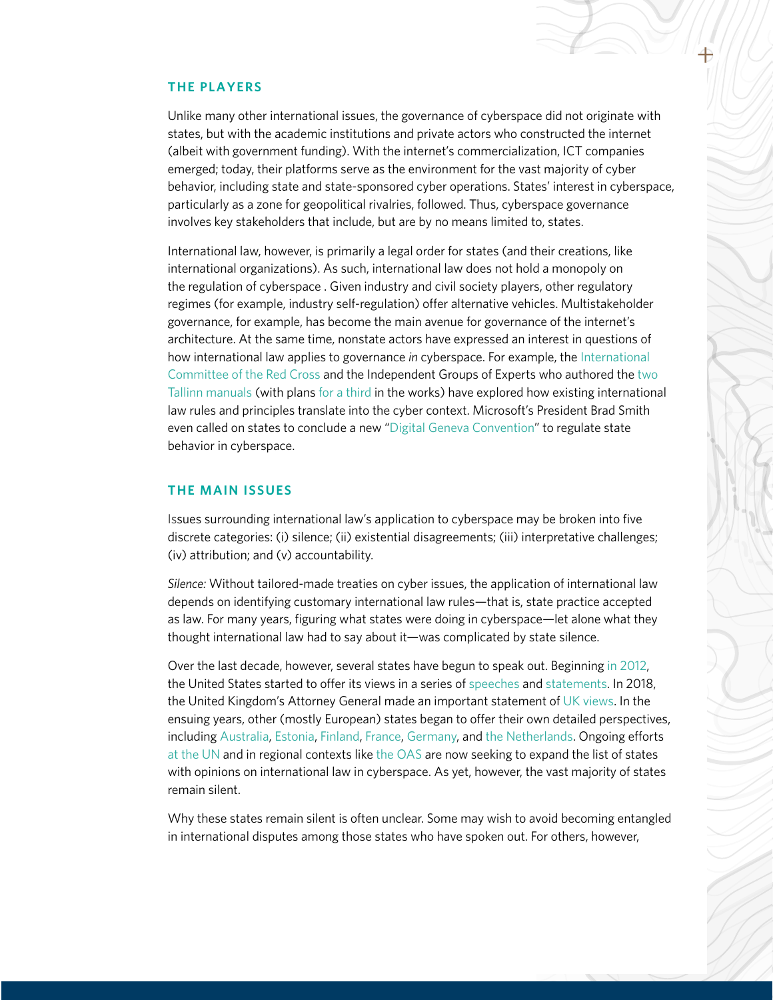#### **THE PLAYERS**

Unlike many other international issues, the governance of cyberspace did not originate with states, but with the academic institutions and private actors who constructed the internet (albeit with government funding). With the internet's commercialization, ICT companies emerged; today, their platforms serve as the environment for the vast majority of cyber behavior, including state and state-sponsored cyber operations. States' interest in cyberspace, particularly as a zone for geopolitical rivalries, followed. Thus, cyberspace governance involves key stakeholders that include, but are by no means limited to, states.

International law, however, is primarily a legal order for states (and their creations, like international organizations). As such, international law does not hold a monopoly on the regulation of cyberspace . Given industry and civil society players, other regulatory regimes (for example, industry self-regulation) offer alternative vehicles. Multistakeholder governance, for example, has become the main avenue for governance of the internet's architecture. At the same time, nonstate actors have expressed an interest in questions of how international law applies to governance *in* cyberspace. For example, the [International](https://www.icrc.org/en/document/international-humanitarian-law-and-cyber-operations-during-armed-conflicts)  [Committee of the Red C](https://www.icrc.org/en/document/international-humanitarian-law-and-cyber-operations-during-armed-conflicts)ross and the Independent Groups of Experts who authored the [two](https://ccdcoe.org/research/tallinn-manual/)  [Tallinn manuals](https://ccdcoe.org/research/tallinn-manual/) (with plans [for a third](https://ccdcoe.org/news/2020/ccdcoe-to-host-the-tallinn-manual-3-0-process/) in the works) have explored how existing international law rules and principles translate into the cyber context. Microsoft's President Brad Smith even called on states to conclude a new "[Digital Geneva Convention"](https://blogs.microsoft.com/on-the-issues/2017/02/14/need-digital-geneva-convention/) to regulate state behavior in cyberspace.

#### **THE MAIN ISSUES**

Issues surrounding international law's application to cyberspace may be broken into five discrete categories: (i) silence; (ii) existential disagreements; (iii) interpretative challenges; (iv) attribution; and (v) accountability.

*Silence:* Without tailored-made treaties on cyber issues, the application of international law depends on identifying customary international law rules—that is, state practice accepted as law. For many years, figuring what states were doing in cyberspace—let alone what they thought international law had to say about it—was complicated by state silence.

Over the last decade, however, several states have begun to speak out. Beginning [in 2012](https://digitalcommons.law.yale.edu/fss_papers/4854/), the United States started to offer its views in a series of [speeches](https://www.defense.gov/Newsroom/Speeches/Speech/Article/2099378/dod-general-counsel-remarks-at-us-cyber-command-legal-conference/) and [statements.](https://www.state.gov/wp-content/uploads/2019/05/2016-Digest-Chapter-18.pdf) In 2018, the United Kingdom's Attorney General made an important statement of [UK views](https://www.gov.uk/government/speeches/cyber-and-international-law-in-the-21st-century). In the ensuing years, other (mostly European) states began to offer their own detailed perspectives, including [Australia](https://s3.amazonaws.com/unoda-web/wp-content/uploads/2019/09/fin-australian-oewg-national-paper-Sept-2019.pdf), [Estonia](https://www.president.ee/en/official-duties/speeches/15241-president-of-the-republic-at-the-opening-of-cycon-2019/index.html), [Finland,](https://um.fi/documents/35732/0/KyberkannatPDF_EN.pdf/12bbbbde-623b-9f86-b254-07d5af3c6d85?t=1603097522727) [France,](https://www.defense.gouv.fr/salle-de-presse/communiques/communiques-du-ministere-des-armees/communique_la-france-s-engage-a-promouvoir-un-cyberespace-stable-fonde-sur-la-confiance-et-le-respect-du-droit-international) [Germany,](https://www.auswaertiges-amt.de/en/newsroom/news/150518-ca-b-chatham-house/271832) and [the Netherlands.](https://www.government.nl/ministries/ministry-of-foreign-affairs/documents/parliamentary-documents/2019/09/26/letter-to-the-parliament-on-the-international-legal-order-in-cyberspace) Ongoing efforts [at the UN](https://www.un.org/disarmament/open-ended-working-group/) and in regional contexts like [the OAS](https://directionsblog.eu/elaborating-international-law-for-cyberspace/) are now seeking to expand the list of states with opinions on international law in cyberspace. As yet, however, the vast majority of states remain silent.

Why these states remain silent is often unclear. Some may wish to avoid becoming entangled in international disputes among those states who have spoken out. For others, however,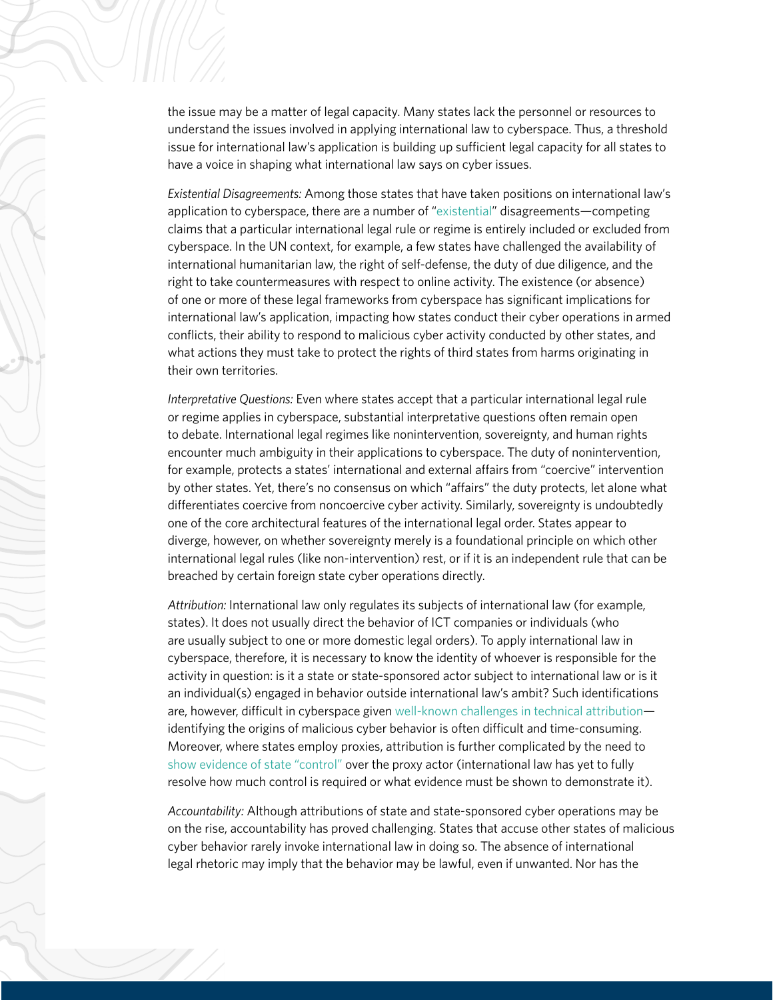the issue may be a matter of legal capacity. Many states lack the personnel or resources to understand the issues involved in applying international law to cyberspace. Thus, a threshold issue for international law's application is building up sufficient legal capacity for all states to have a voice in shaping what international law says on cyber issues.

*Existential Disagreements:* Among those states that have taken positions on international law's application to cyberspace, there are a number of ["existential"](https://papers.ssrn.com/sol3/papers.cfm?abstract_id=2330642) disagreements—competing claims that a particular international legal rule or regime is entirely included or excluded from cyberspace. In the UN context, for example, a few states have challenged the availability of international humanitarian law, the right of self-defense, the duty of due diligence, and the right to take countermeasures with respect to online activity. The existence (or absence) of one or more of these legal frameworks from cyberspace has significant implications for international law's application, impacting how states conduct their cyber operations in armed conflicts, their ability to respond to malicious cyber activity conducted by other states, and what actions they must take to protect the rights of third states from harms originating in their own territories.

*Interpretative Questions:* Even where states accept that a particular international legal rule or regime applies in cyberspace, substantial interpretative questions often remain open to debate. International legal regimes like nonintervention, sovereignty, and human rights encounter much ambiguity in their applications to cyberspace. The duty of nonintervention, for example, protects a states' international and external affairs from "coercive" intervention by other states. Yet, there's no consensus on which "affairs" the duty protects, let alone what differentiates coercive from noncoercive cyber activity. Similarly, sovereignty is undoubtedly one of the core architectural features of the international legal order. States appear to diverge, however, on whether sovereignty merely is a foundational principle on which other international legal rules (like non-intervention) rest, or if it is an independent rule that can be breached by certain foreign state cyber operations directly.

*Attribution:* International law only regulates its subjects of international law (for example, states). It does not usually direct the behavior of ICT companies or individuals (who are usually subject to one or more domestic legal orders). To apply international law in cyberspace, therefore, it is necessary to know the identity of whoever is responsible for the activity in question: is it a state or state-sponsored actor subject to international law or is it an individual(s) engaged in behavior outside international law's ambit? Such identifications are, however, difficult in cyberspace given [well-known challenges in technical attribution](https://www.hoover.org/sites/default/files/research/docs/lin_webready.pdf) identifying the origins of malicious cyber behavior is often difficult and time-consuming. Moreover, where states employ proxies, attribution is further complicated by the need to [show evidence of state "control"](https://papers.ssrn.com/sol3/papers.cfm?abstract_id=3453804) over the proxy actor (international law has yet to fully resolve how much control is required or what evidence must be shown to demonstrate it).

*Accountability:* Although attributions of state and state-sponsored cyber operations may be on the rise, accountability has proved challenging. States that accuse other states of malicious cyber behavior rarely invoke international law in doing so. The absence of international legal rhetoric may imply that the behavior may be lawful, even if unwanted. Nor has the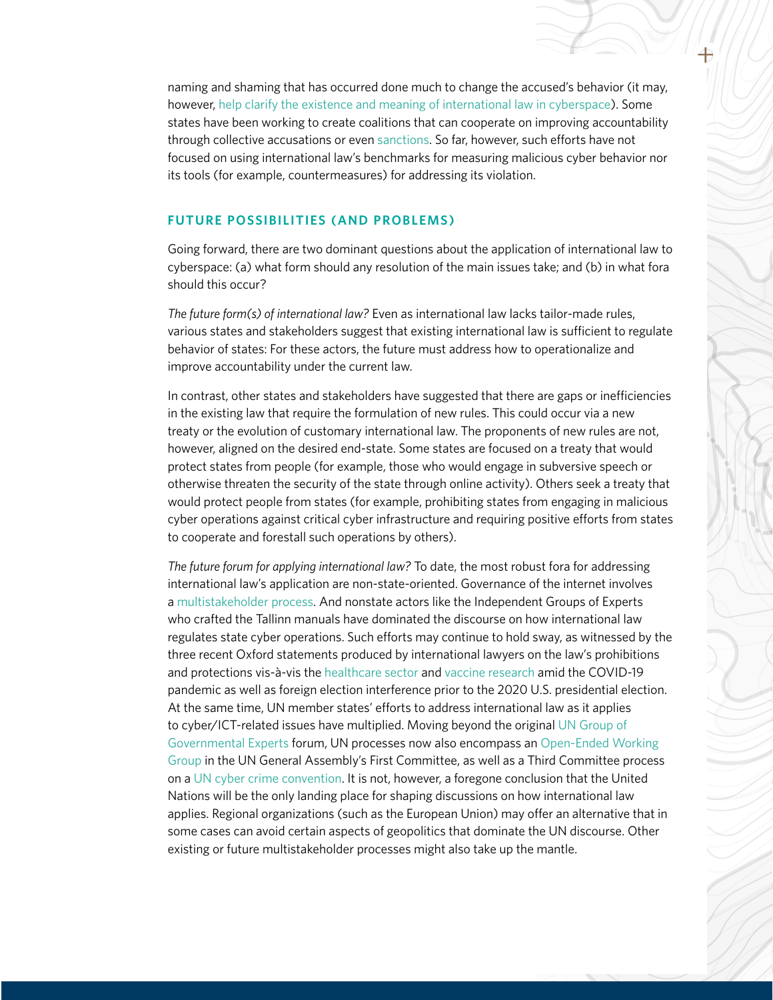naming and shaming that has occurred done much to change the accused's behavior (it may, however, [help clarify the existence and meaning of international law in cyberspace\)](https://papers.ssrn.com/sol3/papers.cfm?abstract_id=3347958). Some states have been working to create [coalitions](https://www.state.gov/joint-statement-on-advancing-responsible-state-behavior-in-cyberspace/) that can cooperate on improving accountability through collective accusations or even [sanctions](https://www.consilium.europa.eu/en/press/press-releases/2020/07/30/eu-imposes-the-first-ever-sanctions-against-cyber-attacks/). So far, however, such efforts have not focused on using international law's benchmarks for measuring malicious cyber behavior nor its tools (for example, countermeasures) for addressing its violation.

#### **FUTURE POSSIBILITIES (AND PROBLEMS)**

Going forward, there are two dominant questions about the application of international law to cyberspace: (a) what form should any resolution of the main issues take; and (b) in what fora should this occur?

*The future form(s) of international law?* Even as international law lacks tailor-made rules, various states and stakeholders suggest that existing international law is sufficient to regulate behavior of states: For these actors, the future must address how to operationalize and improve accountability under the current law.

In contrast, other states and stakeholders have suggested that there are gaps or inefficiencies in the existing law that require the formulation of new rules. This could occur via a new treaty or the evolution of customary international law. The proponents of new rules are not, however, aligned on the desired end-state. Some states are focused on a treaty that would protect states from people (for example, those who would engage in subversive speech or otherwise threaten the security of the state through online activity). Others seek a treaty that would protect people from states (for example, prohibiting states from engaging in malicious cyber operations against critical cyber infrastructure and requiring positive efforts from states to cooperate and forestall such operations by others).

*The future forum for applying international law?* To date, the most robust fora for addressing international law's application are non-state-oriented. Governance of the internet involves a [multistakeholder process](https://www.intgovforum.org/multilingual/). And nonstate actors like the Independent Groups of Experts who crafted the Tallinn manuals have dominated the discourse on how international law regulates state cyber operations. Such efforts may continue to hold sway, as witnessed by the three recent Oxford statements produced by international lawyers on the law's prohibitions and protections vis-à-vis the [healthcare sector](https://www.elac.ox.ac.uk/the-oxford-statement-on-the-international-law-protections-against-cyber-operations-targeting-the-hea) and [vaccine research](https://www.justsecurity.org/71952/the-second-oxford-statement-on-international-law-protections-of-the-healthcare-sector-during-covid-19-safeguarding-vaccine-research/) amid the COVID-19 pandemic as well as foreign election interference prior to the 2020 U.S. presidential election. At the same time, UN member states' efforts to address international law as it applies to cyber/ICT-related issues have multiplied. Moving beyond the original [UN Group of](https://www.un.org/disarmament/group-of-governmental-experts/)  [Governmental Experts](https://www.un.org/disarmament/group-of-governmental-experts/) forum, UN processes now also encompass an [Open-Ended Working](https://www.un.org/disarmament/open-ended-working-group/)  [Group](https://www.un.org/disarmament/open-ended-working-group/) in the UN General Assembly's First Committee, as well as a Third Committee process on a [UN cyber crime convention.](https://apnews.com/79c7986478e5f455f2b281b5c9ed2d15) It is not, however, a foregone conclusion that the United Nations will be the only landing place for shaping discussions on how international law applies. Regional organizations (such as the European Union) may offer an alternative that in some cases can avoid certain aspects of geopolitics that dominate the UN discourse. Other existing or future multistakeholder processes might also take up the mantle.